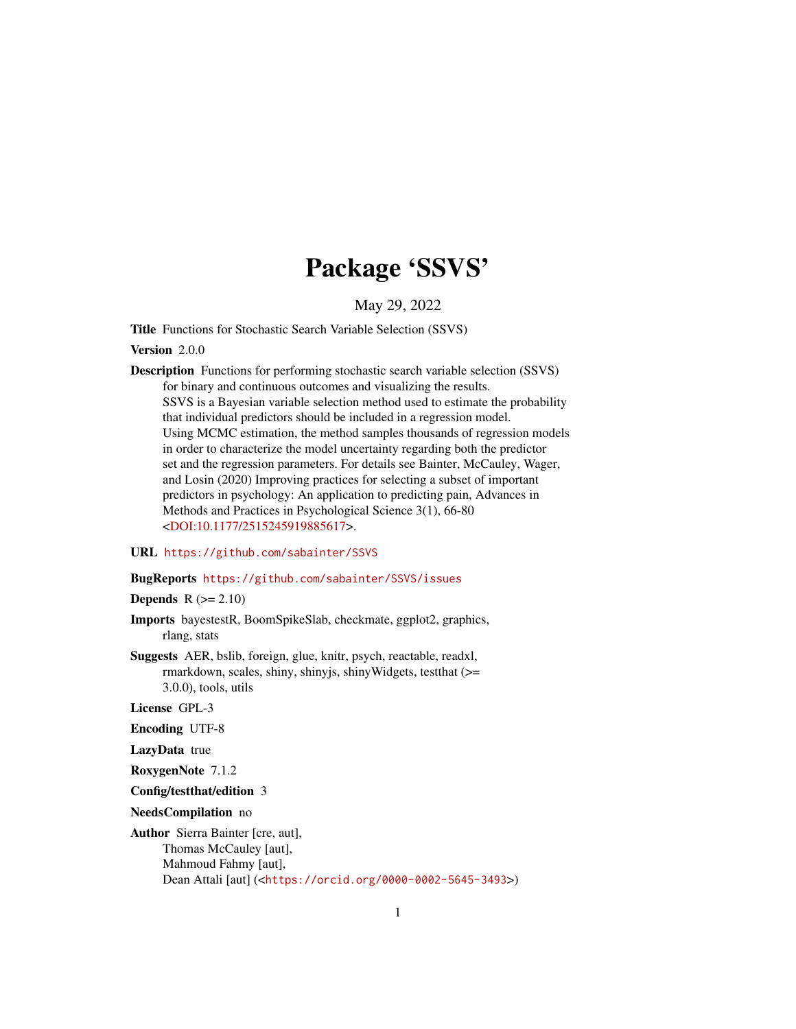# Package 'SSVS'

May 29, 2022

<span id="page-0-0"></span>Title Functions for Stochastic Search Variable Selection (SSVS)

Version 2.0.0

Description Functions for performing stochastic search variable selection (SSVS) for binary and continuous outcomes and visualizing the results. SSVS is a Bayesian variable selection method used to estimate the probability that individual predictors should be included in a regression model. Using MCMC estimation, the method samples thousands of regression models in order to characterize the model uncertainty regarding both the predictor set and the regression parameters. For details see Bainter, McCauley, Wager, and Losin (2020) Improving practices for selecting a subset of important predictors in psychology: An application to predicting pain, Advances in Methods and Practices in Psychological Science 3(1), 66-80 [<DOI:10.1177/2515245919885617>](https://doi.org/10.1177/2515245919885617).

#### URL <https://github.com/sabainter/SSVS>

#### BugReports <https://github.com/sabainter/SSVS/issues>

Depends  $R (= 2.10)$ 

- Imports bayestestR, BoomSpikeSlab, checkmate, ggplot2, graphics, rlang, stats
- Suggests AER, bslib, foreign, glue, knitr, psych, reactable, readxl, rmarkdown, scales, shiny, shinyjs, shinyWidgets, testthat (>= 3.0.0), tools, utils

License GPL-3

Encoding UTF-8

LazyData true

RoxygenNote 7.1.2

Config/testthat/edition 3

NeedsCompilation no

Author Sierra Bainter [cre, aut], Thomas McCauley [aut], Mahmoud Fahmy [aut], Dean Attali [aut] (<<https://orcid.org/0000-0002-5645-3493>>)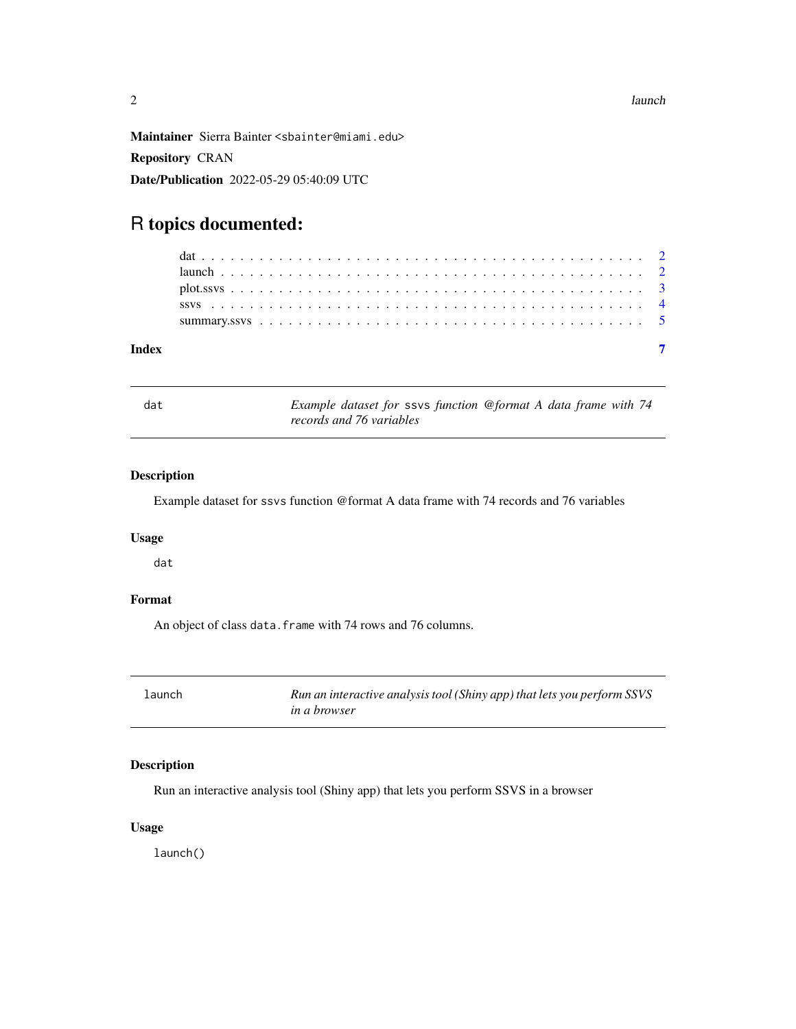<span id="page-1-0"></span>Maintainer Sierra Bainter <sbainter@miami.edu> Repository CRAN Date/Publication 2022-05-29 05:40:09 UTC

## R topics documented:

dat *Example dataset for* ssvs *function @format A data frame with 74 records and 76 variables*

#### Description

Example dataset for ssvs function @format A data frame with 74 records and 76 variables

#### Usage

dat

#### Format

An object of class data. frame with 74 rows and 76 columns.

launch *Run an interactive analysis tool (Shiny app) that lets you perform SSVS in a browser*

#### Description

Run an interactive analysis tool (Shiny app) that lets you perform SSVS in a browser

#### Usage

launch()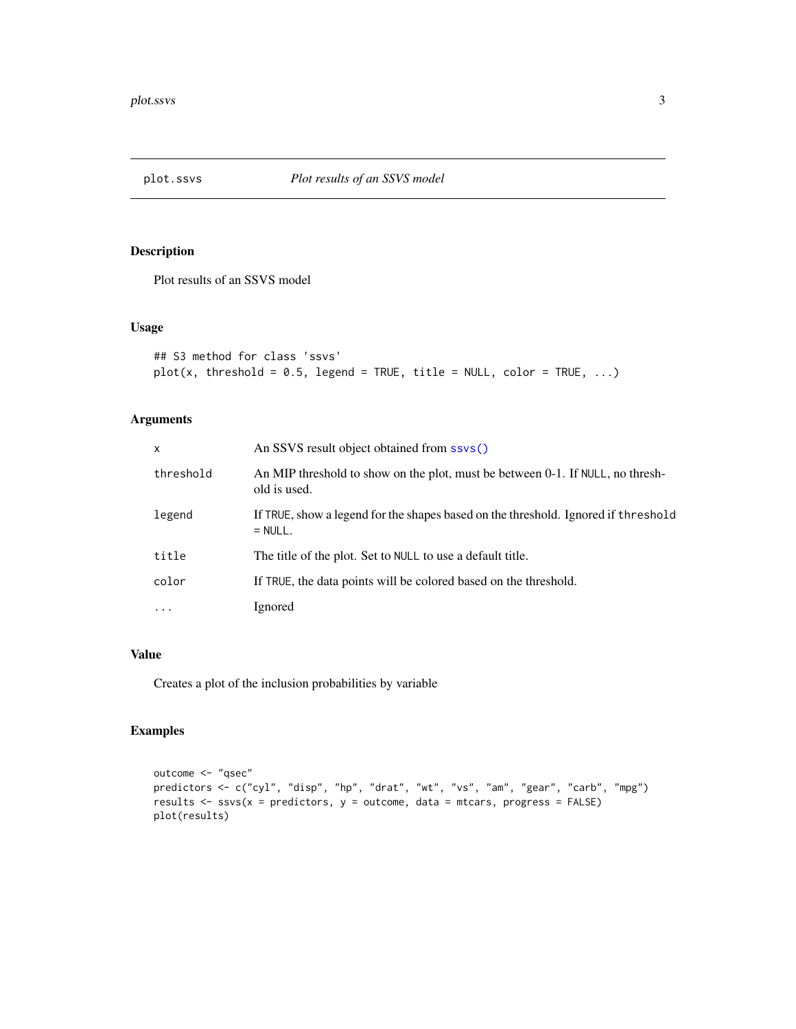<span id="page-2-1"></span><span id="page-2-0"></span>

#### Description

Plot results of an SSVS model

#### Usage

```
## S3 method for class 'ssvs'
plot(x, threshold = 0.5, legend = TRUE, title = NULL, color = TRUE, ...)
```
#### Arguments

| X         | An SSVS result object obtained from ssys()                                                      |
|-----------|-------------------------------------------------------------------------------------------------|
| threshold | An MIP threshold to show on the plot, must be between 0-1. If NULL, no thresh-<br>old is used.  |
| legend    | If TRUE, show a legend for the shapes based on the threshold. Ignored if threshold<br>$= NULL.$ |
| title     | The title of the plot. Set to NULL to use a default title.                                      |
| color     | If TRUE, the data points will be colored based on the threshold.                                |
| $\cdots$  | Ignored                                                                                         |

#### Value

Creates a plot of the inclusion probabilities by variable

#### Examples

```
outcome <- "qsec"
predictors <- c("cyl", "disp", "hp", "drat", "wt", "vs", "am", "gear", "carb", "mpg")
results \leq ssvs(x = predictors, y = outcome, data = mtcars, progress = FALSE)
plot(results)
```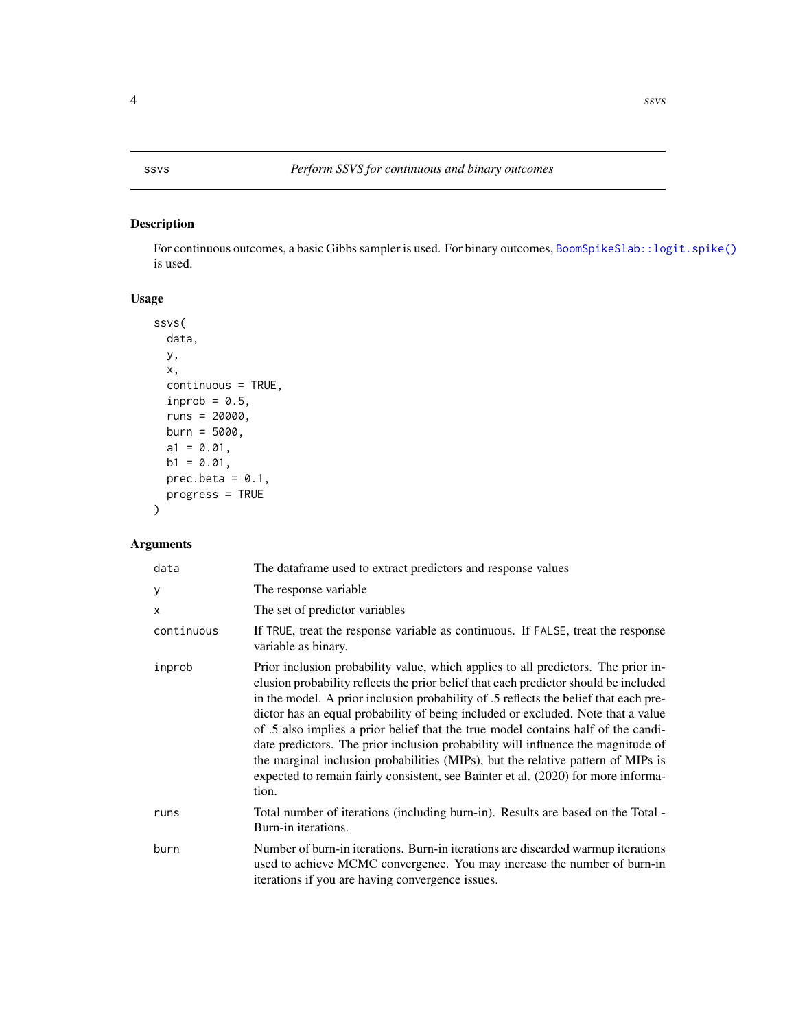#### <span id="page-3-1"></span><span id="page-3-0"></span>Description

For continuous outcomes, a basic Gibbs sampler is used. For binary outcomes, [BoomSpikeSlab::logit.spike\(\)](#page-0-0) is used.

#### Usage

```
ssvs(
 data,
 y,
 x,
 continuous = TRUE,
  inprob = 0.5,
 runs = 20000,burn = 5000,a1 = 0.01,
 b1 = 0.01,
 prec. beta = 0.1,progress = TRUE
\mathcal{L}
```
## Arguments

| data       | The dataframe used to extract predictors and response values                                                                                                                                                                                                                                                                                                                                                                                                                                                                                                                                                                                                                                                     |
|------------|------------------------------------------------------------------------------------------------------------------------------------------------------------------------------------------------------------------------------------------------------------------------------------------------------------------------------------------------------------------------------------------------------------------------------------------------------------------------------------------------------------------------------------------------------------------------------------------------------------------------------------------------------------------------------------------------------------------|
| У          | The response variable                                                                                                                                                                                                                                                                                                                                                                                                                                                                                                                                                                                                                                                                                            |
| X          | The set of predictor variables                                                                                                                                                                                                                                                                                                                                                                                                                                                                                                                                                                                                                                                                                   |
| continuous | If TRUE, treat the response variable as continuous. If FALSE, treat the response<br>variable as binary.                                                                                                                                                                                                                                                                                                                                                                                                                                                                                                                                                                                                          |
| inprob     | Prior inclusion probability value, which applies to all predictors. The prior in-<br>clusion probability reflects the prior belief that each predictor should be included<br>in the model. A prior inclusion probability of .5 reflects the belief that each pre-<br>dictor has an equal probability of being included or excluded. Note that a value<br>of .5 also implies a prior belief that the true model contains half of the candi-<br>date predictors. The prior inclusion probability will influence the magnitude of<br>the marginal inclusion probabilities (MIPs), but the relative pattern of MIPs is<br>expected to remain fairly consistent, see Bainter et al. (2020) for more informa-<br>tion. |
| runs       | Total number of iterations (including burn-in). Results are based on the Total -<br>Burn-in iterations.                                                                                                                                                                                                                                                                                                                                                                                                                                                                                                                                                                                                          |
| burn       | Number of burn-in iterations. Burn-in iterations are discarded warmup iterations<br>used to achieve MCMC convergence. You may increase the number of burn-in<br>iterations if you are having convergence issues.                                                                                                                                                                                                                                                                                                                                                                                                                                                                                                 |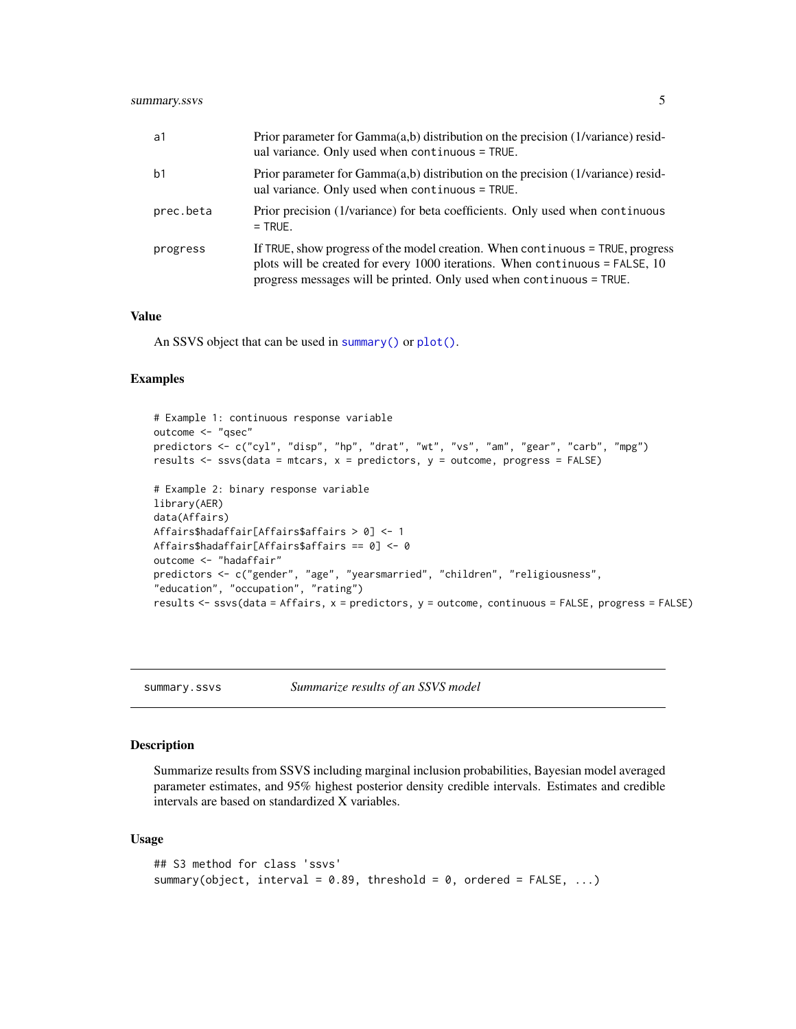<span id="page-4-0"></span>

| a1             | Prior parameter for Gamma(a,b) distribution on the precision (1/variance) resid-<br>ual variance. Only used when continuous = TRUE.                                                                                                      |
|----------------|------------------------------------------------------------------------------------------------------------------------------------------------------------------------------------------------------------------------------------------|
| b <sub>1</sub> | Prior parameter for $Gamma(a,b)$ distribution on the precision (1/variance) resid-<br>ual variance. Only used when continuous = TRUE.                                                                                                    |
| prec.beta      | Prior precision (1/variance) for beta coefficients. Only used when continuous<br>$=$ TRUE.                                                                                                                                               |
| progress       | If TRUE, show progress of the model creation. When continuous = TRUE, progress<br>plots will be created for every 1000 iterations. When continuous $=$ FALSE, 10<br>progress messages will be printed. Only used when continuous = TRUE. |

#### Value

An SSVS object that can be used in [summary\(\)](#page-4-1) or [plot\(\)](#page-2-1).

#### Examples

```
# Example 1: continuous response variable
outcome <- "qsec"
predictors <- c("cyl", "disp", "hp", "drat", "wt", "vs", "am", "gear", "carb", "mpg")
results \leq ssvs(data = mtcars, x = predictors, y = outcome, progress = FALSE)
# Example 2: binary response variable
library(AER)
data(Affairs)
Affairs$hadaffair[Affairs$affairs > 0] <- 1
Affairs$hadaffair[Affairs$affairs == 0] <- 0
outcome <- "hadaffair"
predictors <- c("gender", "age", "yearsmarried", "children", "religiousness",
"education", "occupation", "rating")
results <- ssvs(data = Affairs, x = predictors, y = outcome, continuous = FALSE, progress = FALSE)
```
<span id="page-4-1"></span>summary.ssvs *Summarize results of an SSVS model*

#### Description

Summarize results from SSVS including marginal inclusion probabilities, Bayesian model averaged parameter estimates, and 95% highest posterior density credible intervals. Estimates and credible intervals are based on standardized X variables.

#### Usage

```
## S3 method for class 'ssvs'
summary(object, interval = 0.89, threshold = 0, ordered = FALSE, \ldots)
```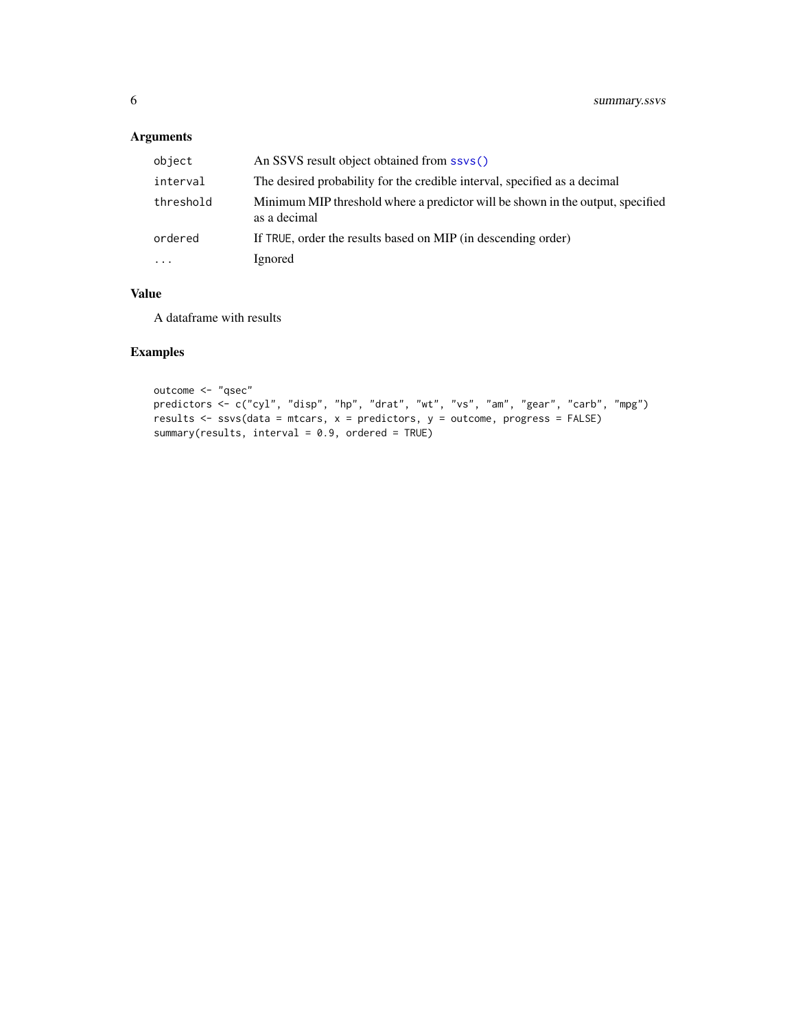## <span id="page-5-0"></span>Arguments

| object    | An SSVS result object obtained from ssvs()                                                     |
|-----------|------------------------------------------------------------------------------------------------|
| interval  | The desired probability for the credible interval, specified as a decimal                      |
| threshold | Minimum MIP threshold where a predictor will be shown in the output, specified<br>as a decimal |
| ordered   | If TRUE, order the results based on MIP (in descending order)                                  |
| $\cdots$  | Ignored                                                                                        |

#### Value

A dataframe with results

### Examples

```
outcome <- "qsec"
predictors <- c("cyl", "disp", "hp", "drat", "wt", "vs", "am", "gear", "carb", "mpg")
results <- ssvs(data = mtcars, x = predictors, y = outcome, progress = FALSE)
summary(results, interval = 0.9, ordered = TRUE)
```